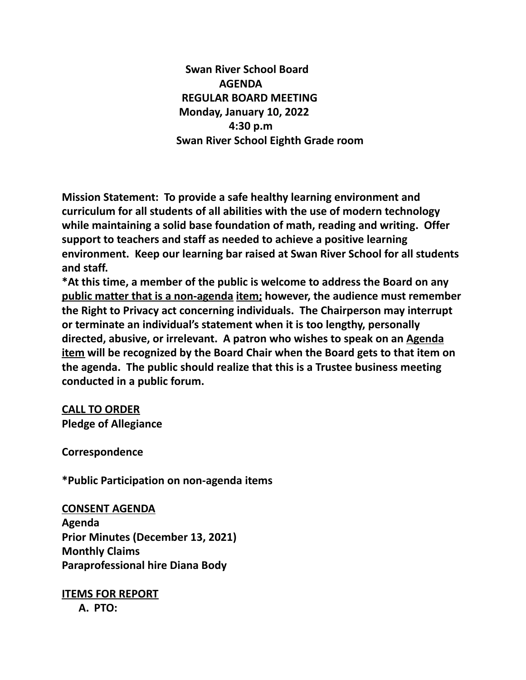**Swan River School Board AGENDA REGULAR BOARD MEETING Monday, January 10, 2022 4:30 p.m Swan River School Eighth Grade room**

**Mission Statement: To provide a safe healthy learning environment and curriculum for all students of all abilities with the use of modern technology while maintaining a solid base foundation of math, reading and writing. Offer support to teachers and staff as needed to achieve a positive learning environment. Keep our learning bar raised at Swan River School for all students and staff.**

**\*At this time, a member of the public is welcome to address the Board on any public matter that is a non-agenda item; however, the audience must remember the Right to Privacy act concerning individuals. The Chairperson may interrupt or terminate an individual's statement when it is too lengthy, personally directed, abusive, or irrelevant. A patron who wishes to speak on an Agenda item will be recognized by the Board Chair when the Board gets to that item on the agenda. The public should realize that this is a Trustee business meeting conducted in a public forum.**

**CALL TO ORDER Pledge of Allegiance**

**Correspondence**

**\*Public Participation on non-agenda items**

**CONSENT AGENDA**

**Agenda Prior Minutes (December 13, 2021) Monthly Claims Paraprofessional hire Diana Body**

**ITEMS FOR REPORT A. PTO:**